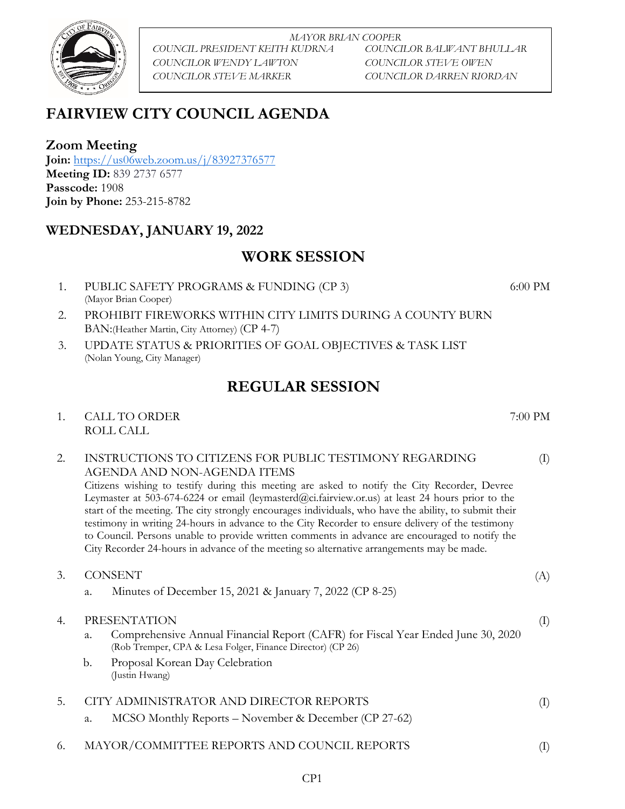

*MAYOR BRIAN COOPER COUNCIL PRESIDENT KEITH KUDRNA COUNCILOR BALWANT BHULLAR COUNCILOR WENDY LAWTON COUNCILOR STEVE OWEN COUNCILOR STEVE MARKER COUNCILOR DARREN RIORDAN*

# **FAIRVIEW CITY COUNCIL AGENDA**

**Zoom Meeting**

**Join:** <https://us06web.zoom.us/j/83927376577> **Meeting ID:** 839 2737 6577 **Passcode:** 1908 **Join by Phone:** 253-215-8782

#### **WEDNESDAY, JANUARY 19, 2022**

## **WORK SESSION**

- 1. PUBLIC SAFETY PROGRAMS & FUNDING (CP 3) (Mayor Brian Cooper)
- 2. PROHIBIT FIREWORKS WITHIN CITY LIMITS DURING A COUNTY BURN BAN:(Heather Martin, City Attorney) (CP 4-7)
- 3. UPDATE STATUS & PRIORITIES OF GOAL OBJECTIVES & TASK LIST (Nolan Young, City Manager)

## **REGULAR SESSION**

1. CALL TO ORDER 7:00 PM ROLL CALL

#### (I) 2. INSTRUCTIONS TO CITIZENS FOR PUBLIC TESTIMONY REGARDING AGENDA AND NON-AGENDA ITEMS

Citizens wishing to testify during this meeting are asked to notify the City Recorder, Devree Leymaster at 503-674-6224 or email (leymasterd@ci.fairview.or.us) at least 24 hours prior to the start of the meeting. The city strongly encourages individuals, who have the ability, to submit their testimony in writing 24-hours in advance to the City Recorder to ensure delivery of the testimony to Council. Persons unable to provide written comments in advance are encouraged to notify the City Recorder 24-hours in advance of the meeting so alternative arrangements may be made.

- (A) (I) (I) 3. CONSENT a. Minutes of December 15, 2021 & January 7, 2022 (CP 8-25) 4. PRESENTATION a. Comprehensive Annual Financial Report (CAFR) for Fiscal Year Ended June 30, 2020 (Rob Tremper, CPA & Lesa Folger, Finance Director) (CP 26) b. Proposal Korean Day Celebration (Justin Hwang) 5. CITY ADMINISTRATOR AND DIRECTOR REPORTS a. MCSO Monthly Reports – November & December (CP 27-62)
- 6. MAYOR/COMMITTEE REPORTS AND COUNCIL REPORTS (I)

6:00 PM